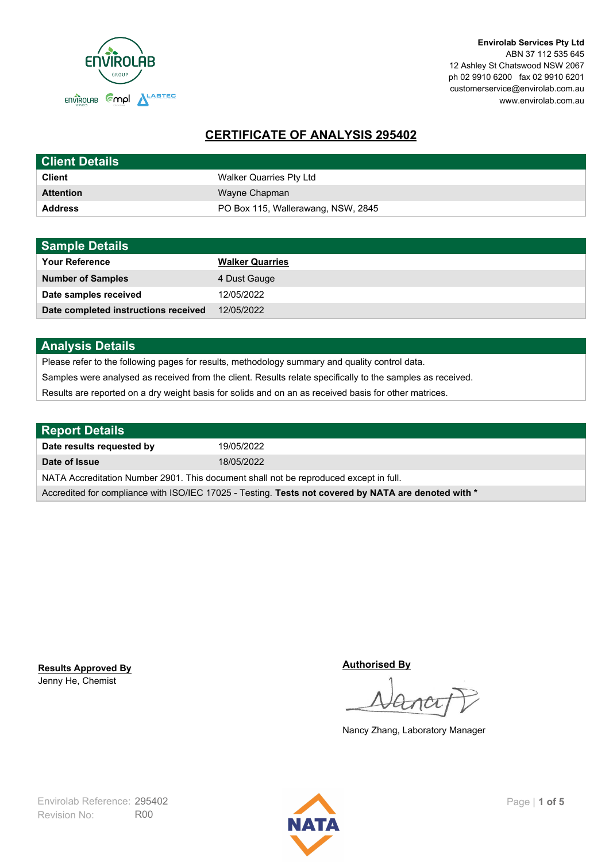

**Envirolab Services Pty Ltd** ABN 37 112 535 645 12 Ashley St Chatswood NSW 2067 ph 02 9910 6200 fax 02 9910 6201 customerservice@envirolab.com.au www.envirolab.com.au

# **CERTIFICATE OF ANALYSIS 295402**

| <b>Client Details</b> |                                    |
|-----------------------|------------------------------------|
| <b>Client</b>         | Walker Quarries Pty Ltd            |
| <b>Attention</b>      | Wayne Chapman                      |
| <b>Address</b>        | PO Box 115, Wallerawang, NSW, 2845 |

| <b>Sample Details</b>                |                        |
|--------------------------------------|------------------------|
| <b>Your Reference</b>                | <b>Walker Quarries</b> |
| <b>Number of Samples</b>             | 4 Dust Gauge           |
| Date samples received                | 12/05/2022             |
| Date completed instructions received | 12/05/2022             |

## **Analysis Details**

Please refer to the following pages for results, methodology summary and quality control data.

Samples were analysed as received from the client. Results relate specifically to the samples as received.

Results are reported on a dry weight basis for solids and on an as received basis for other matrices.

| <b>Report Details</b>                                                                                |            |  |
|------------------------------------------------------------------------------------------------------|------------|--|
| Date results requested by                                                                            | 19/05/2022 |  |
| Date of Issue                                                                                        | 18/05/2022 |  |
| NATA Accreditation Number 2901. This document shall not be reproduced except in full.                |            |  |
| Accredited for compliance with ISO/IEC 17025 - Testing. Tests not covered by NATA are denoted with * |            |  |

Jenny He, Chemist **Results Approved By** **Authorised By**

Nancy Zhang, Laboratory Manager

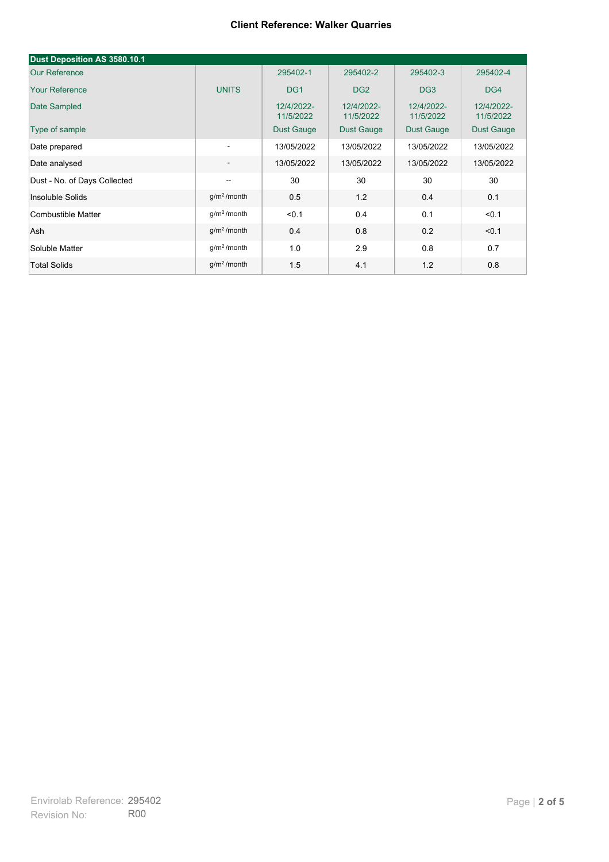| Dust Deposition AS 3580.10.1 |                          |                         |                         |                         |                         |
|------------------------------|--------------------------|-------------------------|-------------------------|-------------------------|-------------------------|
| <b>Our Reference</b>         |                          | 295402-1                | 295402-2                | 295402-3                | 295402-4                |
| <b>Your Reference</b>        | <b>UNITS</b>             | DG <sub>1</sub>         | DG <sub>2</sub>         | DG <sub>3</sub>         | DG4                     |
| Date Sampled                 |                          | 12/4/2022-<br>11/5/2022 | 12/4/2022-<br>11/5/2022 | 12/4/2022-<br>11/5/2022 | 12/4/2022-<br>11/5/2022 |
| Type of sample               |                          | <b>Dust Gauge</b>       | <b>Dust Gauge</b>       | <b>Dust Gauge</b>       | Dust Gauge              |
| Date prepared                | $\overline{\phantom{a}}$ | 13/05/2022              | 13/05/2022              | 13/05/2022              | 13/05/2022              |
| Date analysed                | $\overline{\phantom{a}}$ | 13/05/2022              | 13/05/2022              | 13/05/2022              | 13/05/2022              |
| Dust - No. of Days Collected | $\overline{\phantom{a}}$ | 30                      | 30                      | 30                      | 30                      |
| Insoluble Solids             | g/m <sup>2</sup> /month  | 0.5                     | 1.2                     | 0.4                     | 0.1                     |
| Combustible Matter           | $q/m2$ /month            | < 0.1                   | 0.4                     | 0.1                     | < 0.1                   |
| Ash                          | g/m <sup>2</sup> /month  | 0.4                     | 0.8                     | 0.2                     | < 0.1                   |
| Soluble Matter               | g/m <sup>2</sup> /month  | 1.0                     | 2.9                     | 0.8                     | 0.7                     |
| <b>Total Solids</b>          | g/m <sup>2</sup> /month  | 1.5                     | 4.1                     | 1.2                     | 0.8                     |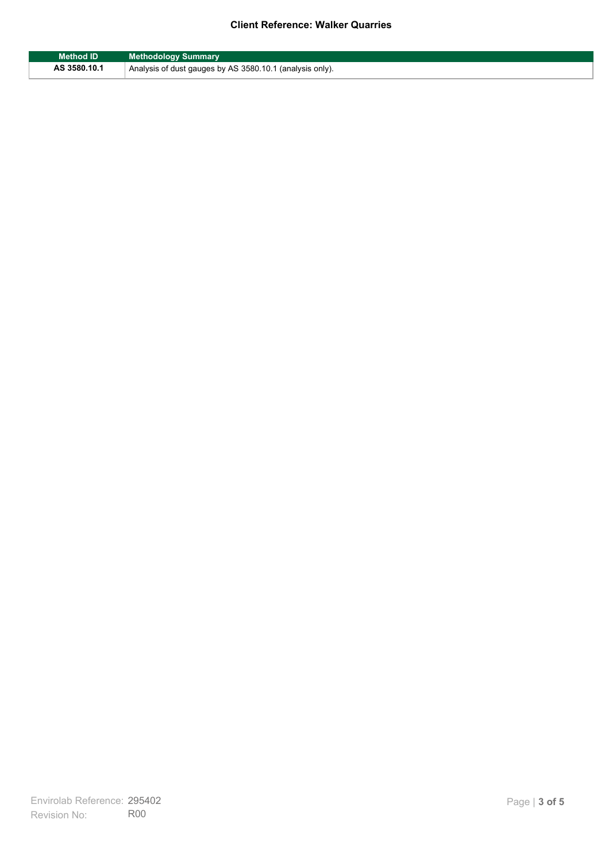| Method ID    | <b>Methodology Summary</b>                                            |
|--------------|-----------------------------------------------------------------------|
| AS 3580.10.1 | <sup>1</sup> Analysis of dust gauges by AS 3580.10.1 (analysis only). |

F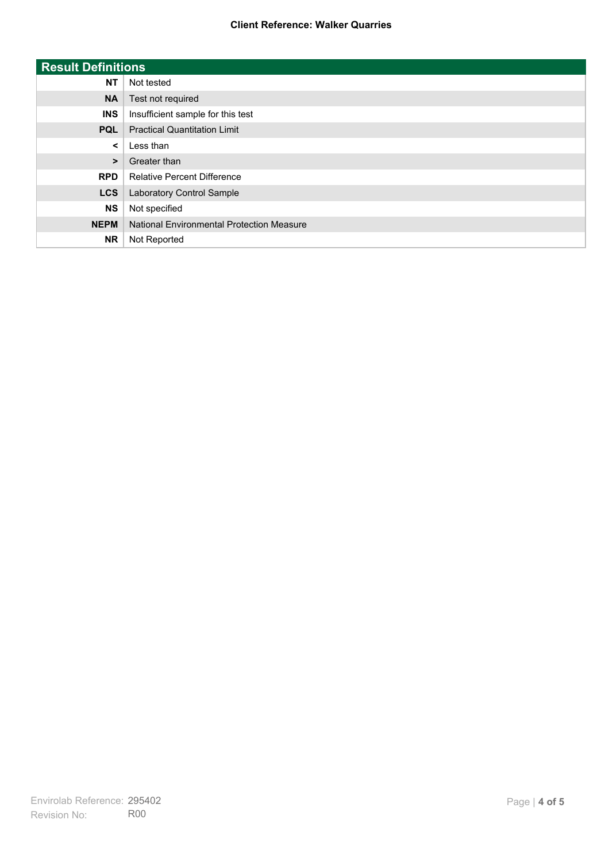| <b>Result Definitions</b> |                                           |
|---------------------------|-------------------------------------------|
| <b>NT</b>                 | Not tested                                |
| <b>NA</b>                 | Test not required                         |
| <b>INS</b>                | Insufficient sample for this test         |
| <b>PQL</b>                | <b>Practical Quantitation Limit</b>       |
| $\prec$                   | Less than                                 |
| $\geq$                    | Greater than                              |
| <b>RPD</b>                | <b>Relative Percent Difference</b>        |
| <b>LCS</b>                | Laboratory Control Sample                 |
| <b>NS</b>                 | Not specified                             |
| <b>NEPM</b>               | National Environmental Protection Measure |
| <b>NR</b>                 | Not Reported                              |